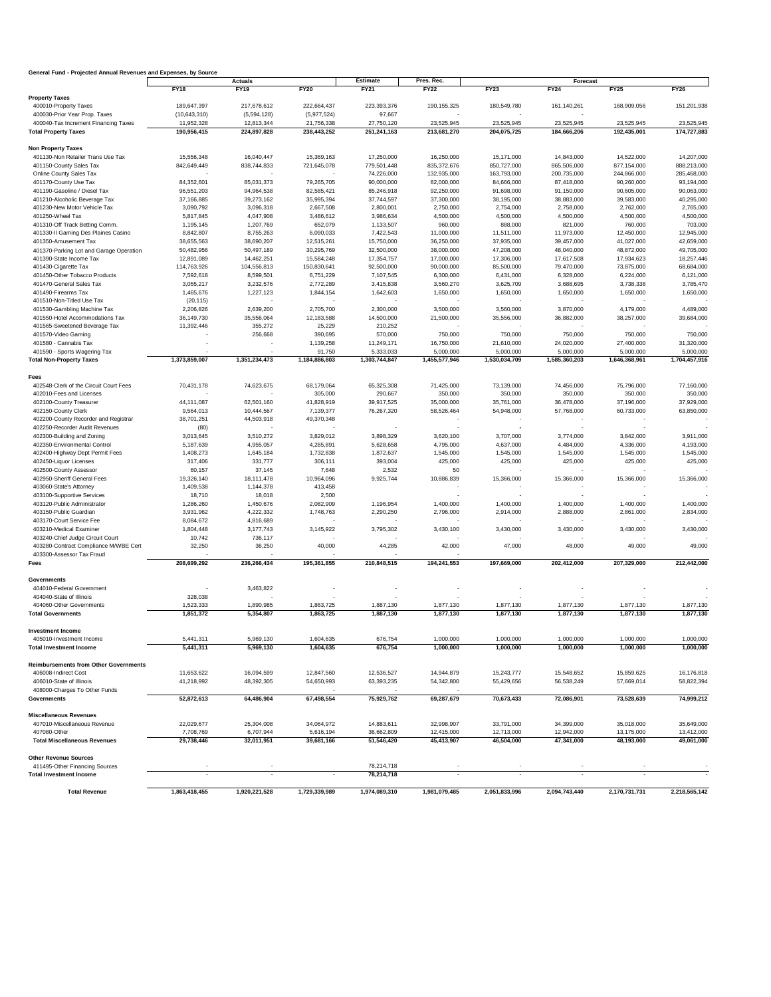| General Fund - Projected Annual Revenues and Expenses, by Source |                |                |               |                 |               |               |                 |               |               |
|------------------------------------------------------------------|----------------|----------------|---------------|-----------------|---------------|---------------|-----------------|---------------|---------------|
|                                                                  |                | <b>Actuals</b> |               | <b>Estimate</b> | Pres. Rec.    |               | <b>Forecast</b> |               |               |
|                                                                  | <b>FY18</b>    | <b>FY19</b>    | <b>FY20</b>   | <b>FY21</b>     | <b>FY22</b>   | FY23          | <b>FY24</b>     | FY25          | <b>FY26</b>   |
| <b>Property Taxes</b>                                            |                |                |               |                 |               |               |                 |               |               |
| 400010-Property Taxes                                            | 189,647,397    | 217,678,612    | 222,664,437   | 223,393,376     | 190,155,325   | 180,549,780   | 161,140,261     | 168,909,056   | 151,201,938   |
| 400030-Prior Year Prop. Taxes                                    | (10, 643, 310) | (5,594,128)    | (5,977,524)   | 97,667          |               |               |                 |               |               |
| 400040-Tax Increment Financing Taxes                             | 11,952,328     | 12,813,344     | 21,756,338    | 27,750,120      | 23,525,945    | 23,525,945    | 23,525,945      | 23,525,945    | 23,525,945    |
| <b>Total Property Taxes</b>                                      | 190,956,415    | 224,897,828    | 238,443,252   | 251,241,163     | 213,681,270   | 204,075,725   | 184,666,206     | 192,435,001   | 174,727,883   |
| <b>Non Property Taxes</b>                                        |                |                |               |                 |               |               |                 |               |               |
| 401130-Non Retailer Trans Use Tax                                | 15,556,348     | 16,040,447     | 15,369,163    | 17,250,000      | 16,250,000    | 15,171,000    | 14,843,000      | 14,522,000    | 14,207,000    |
| 401150-County Sales Tax                                          | 842,649,449    | 838,744,833    | 721,645,078   | 779,501,448     | 835,372,676   | 850,727,000   | 865,506,000     | 877,154,000   | 888,213,000   |
| Online County Sales Tax                                          |                |                |               | 74,226,000      | 132,935,000   | 163,793,000   | 200,735,000     | 244,866,000   | 285,468,000   |
| 401170-County Use Tax                                            | 84,352,601     | 85,031,373     | 79,265,705    | 90,000,000      | 82,000,000    | 84,666,000    | 87,418,000      | 90,260,000    | 93,194,000    |
| 401190-Gasoline / Diesel Tax                                     | 96,551,203     | 94,964,538     | 82,585,421    | 85,246,918      | 92,250,000    | 91,698,000    | 91,150,000      | 90,605,000    | 90,063,000    |
| 401210-Alcoholic Beverage Tax                                    | 37,166,885     | 39,273,162     | 35,995,394    | 37,744,597      | 37,300,000    | 38,195,000    | 38,883,000      | 39,583,000    | 40,295,000    |
| 401230-New Motor Vehicle Tax                                     | 3,090,792      | 3,096,318      | 2,667,508     | 2,800,001       | 2,750,000     | 2,754,000     | 2,758,000       | 2,762,000     | 2,765,000     |
| 401250-Wheel Tax                                                 | 5,817,845      | 4,047,908      | 3,486,612     | 3,986,634       | 4,500,000     | 4,500,000     | 4,500,000       | 4,500,000     | 4,500,000     |
| 401310-Off Track Betting Comm.                                   | 1,195,145      | 1,207,769      | 652,079       | 1,133,507       | 960,000       | 888,000       | 821,000         | 760,000       | 703,000       |
| 401330-II Gaming Des Plaines Casino                              | 8,842,807      | 8,755,263      | 6,090,033     | 7,422,543       | 11,000,000    | 11,511,000    | 11,973,000      | 12,450,000    | 12,945,000    |
| 401350-Amusement Tax                                             | 38,655,563     | 38,690,207     | 12,515,261    | 15,750,000      | 36,250,000    | 37,935,000    | 39,457,000      | 41,027,000    | 42,659,000    |
| 401370-Parking Lot and Garage Operation                          | 50,482,956     | 50,497,189     | 30,295,769    | 32,500,000      | 38,000,000    | 47,208,000    | 48,040,000      | 48,872,000    | 49,705,000    |
| 401390-State Income Tax                                          | 12,891,089     | 14,462,251     | 15,584,248    | 17,354,757      | 17,000,000    | 17,306,000    | 17,617,508      | 17,934,623    | 18,257,446    |
| 401430-Cigarette Tax                                             | 114,763,926    | 104,556,813    | 150,830,641   | 92,500,000      | 90,000,000    | 85,500,000    | 79,470,000      | 73,875,000    | 68,684,000    |
| 401450-Other Tobacco Products                                    | 7,592,618      | 8,599,501      | 6,751,229     | 7,107,545       | 6,300,000     | 6,431,000     | 6,328,000       | 6,224,000     | 6,121,000     |
| 401470-General Sales Tax                                         | 3,055,217      | 3,232,576      | 2,772,289     | 3,415,838       | 3,560,270     | 3,625,709     | 3,688,695       | 3,738,338     | 3,785,470     |
| 401490-Firearms Tax                                              | 1,465,676      | 1,227,123      | 1,844,154     | 1,642,603       | 1,650,000     | 1,650,000     | 1,650,000       | 1,650,000     | 1,650,000     |
| 401510-Non-Titled Use Tax                                        | (20, 115)      |                |               |                 |               |               |                 |               |               |
| 401530-Gambling Machine Tax                                      | 2,206,826      | 2,639,200      | 2,705,700     | 2,300,000       | 3,500,000     | 3,560,000     | 3,870,000       | 4,179,000     | 4,489,000     |
| 401550-Hotel Accommodations Tax                                  | 36, 149, 730   | 35,556,064     | 12,183,588    | 14,500,000      | 21,500,000    | 35,556,000    | 36,882,000      | 38,257,000    | 39,684,000    |
| 401565-Sweetened Beverage Tax                                    | 11,392,446     | 355,272        | 25,229        | 210,252         |               |               |                 |               |               |
| 401570-Video Gaming                                              |                | 256,668        | 390,695       | 570,000         | 750,000       | 750,000       | 750,000         | 750,000       | 750,000       |
| 401580 - Cannabis Tax                                            |                |                | 1,139,258     | 11,249,171      | 16,750,000    | 21,610,000    | 24,020,000      | 27,400,000    | 31,320,000    |
| 401590 - Sports Wagering Tax                                     |                |                | 91,750        | 5,333,033       | 5,000,000     | 5,000,000     | 5,000,000       | 5,000,000     | 5,000,000     |
| <b>Total Non-Property Taxes</b>                                  | 1,373,859,007  | 1,351,234,473  | 1,184,886,803 | 1,303,744,847   | 1,455,577,946 | 1,530,034,709 | 1,585,360,203   | 1,646,368,961 | 1,704,457,916 |
|                                                                  |                |                |               |                 |               |               |                 |               |               |
| Fees                                                             |                |                |               |                 |               |               |                 |               |               |
| 402548-Clerk of the Circuit Court Fees                           | 70,431,178     | 74,623,675     | 68,179,064    | 65,325,308      | 71,425,000    | 73,139,000    | 74,456,000      | 75,796,000    | 77,160,000    |
| 402010-Fees and Licenses                                         |                |                | 305,000       | 290,667         | 350,000       | 350,000       | 350,000         | 350,000       | 350,000       |
| 402100-County Treasurer                                          | 44,111,087     | 62,501,160     | 41,828,919    | 39,917,525      | 35,000,000    | 35,761,000    | 36,478,000      | 37,196,000    | 37,929,000    |
| 402150-County Clerk                                              | 9,564,013      | 10,444,567     | 7,139,377     | 76,267,320      | 58,526,464    | 54,948,000    | 57,768,000      | 60,733,000    | 63,850,000    |
| 402200-County Recorder and Registrar                             | 38,701,251     | 44,503,918     | 49,370,348    |                 |               |               |                 |               |               |
| 402250-Recorder Audit Revenues                                   | (80)           |                |               |                 |               |               |                 |               |               |
| 402300-Building and Zoning                                       | 3,013,645      | 3,510,272      | 3,829,012     | 3,898,329       | 3,620,100     | 3,707,000     | 3,774,000       | 3,842,000     | 3,911,000     |
| 402350-Environmental Control                                     | 5,187,639      | 4,955,057      | 4,265,891     | 5,628,658       | 4,795,000     | 4,637,000     | 4,484,000       | 4,336,000     | 4,193,000     |
| 402400-Highway Dept Permit Fees                                  | 1,408,273      | 1,645,184      | 1,732,838     | 1,872,637       | 1,545,000     | 1,545,000     | 1,545,000       | 1,545,000     | 1,545,000     |
| 402450-Liquor Licenses                                           | 317,406        | 331,777        | 306,111       | 393,004         | 425,000       | 425,000       | 425,000         | 425,000       | 425,000       |
| 402500-County Assessor                                           | 60,157         | 37,145         | 7,648         | 2,532           | 50            |               |                 |               |               |
| 402950-Sheriff General Fees                                      | 19,326,140     | 18,111,478     | 10,964,096    | 9,925,744       | 10,886,839    | 15,366,000    | 15,366,000      | 15,366,000    | 15,366,000    |
| 403060-State's Attorney                                          | 1,409,538      | 1,144,378      | 413,458       |                 |               |               |                 |               |               |
| 403100-Supportive Services                                       | 18,710         | 18,018         | 2,500         |                 |               |               |                 |               |               |
| 403120-Public Administrator                                      | 1,286,260      | 1,450,676      | 2,082,909     | 1,196,954       | 1,400,000     | 1,400,000     | 1,400,000       | 1,400,000     | 1,400,000     |
| 403150-Public Guardian                                           | 3,931,962      | 4,222,332      | 1,748,763     | 2,290,250       | 2,796,000     | 2,914,000     | 2,888,000       | 2,861,000     | 2,834,000     |
| 403170-Court Service Fee                                         | 8,084,672      | 4,816,689      |               |                 |               |               |                 |               |               |
| 403210-Medical Examiner                                          | 1,804,448      | 3,177,743      | 3,145,922     | 3,795,302       | 3,430,100     | 3,430,000     | 3,430,000       | 3,430,000     | 3,430,000     |
| 403240-Chief Judge Circuit Court                                 | 10,742         | 736,117        |               |                 |               |               |                 |               |               |
| 403280-Contract Compliance M/WBE Cert                            | 32,250         | 36,250         | 40,000        | 44,285          | 42,000        | 47,000        | 48,000          | 49,000        | 49,000        |
| 403300-Assessor Tax Fraud                                        |                |                |               |                 |               |               |                 |               |               |
| Fees                                                             | 208,699,292    | 236,266,434    | 195,361,855   | 210,848,515     | 194,241,553   | 197,669,000   | 202,412,000     | 207,329,000   | 212,442,000   |

| <b>Total Revenue</b>                                          | 1,863,418,455            | 1,920,221,528            | 1,729,339,989            | 1,974,089,310            | 1,981,079,485            | 2,051,833,996            | 2,094,743,440 | 2,170,731,731            | 2,218,565,142 |
|---------------------------------------------------------------|--------------------------|--------------------------|--------------------------|--------------------------|--------------------------|--------------------------|---------------|--------------------------|---------------|
| <b>Total Investment Income</b>                                | $\overline{a}$           | $\blacksquare$           | $\sim$                   | 78,214,718               | $\sim$                   | $\sim$                   |               | $\overline{\phantom{a}}$ |               |
| 411495-Other Financing Sources                                | $\overline{\phantom{a}}$ | $\overline{\phantom{a}}$ |                          | 78,214,718               | $\overline{\phantom{a}}$ | $\blacksquare$           |               |                          |               |
| <b>Other Revenue Sources</b>                                  |                          |                          |                          |                          |                          |                          |               |                          |               |
| <b>Total Miscellaneous Revenues</b>                           | 29,738,446               | 32,011,951               | 39,681,166               | 51,546,420               | 45,413,907               | 46,504,000               | 47,341,000    | 48,193,000               | 49,061,000    |
| 407080-Other                                                  | 7,708,769                | 6,707,944                | 5,616,194                | 36,662,809               | 12,415,000               | 12,713,000               | 12,942,000    | 13,175,000               | 13,412,000    |
| <b>Miscellaneous Revenues</b><br>407010-Miscellaneous Revenue | 22,029,677               | 25,304,008               | 34,064,972               | 14,883,611               | 32,998,907               | 33,791,000               | 34,399,000    | 35,018,000               | 35,649,000    |
| <b>Governments</b>                                            | 52,872,613               | 64,486,904               | 67,498,554               | 75,929,762               | 69,287,679               | 70,673,433               | 72,086,901    | 73,528,639               | 74,999,212    |
| 408000-Charges To Other Funds                                 |                          |                          |                          |                          | $\overline{\phantom{a}}$ |                          |               |                          |               |
| 406010-State of Illinois                                      | 41,218,992               | 48,392,305               | 54,650,993               | 63,393,235               | 54,342,800               | 55,429,656               | 56,538,249    | 57,669,014               | 58,822,394    |
| 406008-Indirect Cost                                          | 11,653,622               | 16,094,599               | 12,847,560               | 12,536,527               | 14,944,879               | 15,243,777               | 15,548,652    | 15,859,625               | 16,176,818    |
| <b>Reimbursements from Other Governments</b>                  |                          |                          |                          |                          |                          |                          |               |                          |               |
| <b>Total Investment Income</b>                                | 5,441,311                | 5,969,130                | 1,604,635                | 676,754                  | 1,000,000                | 1,000,000                | 1,000,000     | 1,000,000                | 1,000,000     |
| 405010-Investment Income                                      | 5,441,311                | 5,969,130                | 1,604,635                | 676,754                  | 1,000,000                | 1,000,000                | 1,000,000     | 1,000,000                | 1,000,000     |
| <b>Investment Income</b>                                      |                          |                          |                          |                          |                          |                          |               |                          |               |
| <b>Total Governments</b>                                      | 1,851,372                | 5,354,807                | 1,863,725                | 1,887,130                | 1,877,130                | 1,877,130                | 1,877,130     | 1,877,130                | 1,877,130     |
| 404060-Other Governments                                      | 1,523,333                | 1,890,985                | 1,863,725                | 1,887,130                | 1,877,130                | 1,877,130                | 1,877,130     | 1,877,130                | 1,877,130     |
| 404040-State of Illinois                                      | 328,038                  |                          | $\overline{\phantom{a}}$ |                          | $\overline{\phantom{a}}$ | $\overline{\phantom{a}}$ | ь.            | $\overline{\phantom{a}}$ |               |
| 404010-Federal Government                                     |                          | 3,463,822                |                          | $\overline{\phantom{0}}$ | $\overline{\phantom{a}}$ |                          |               |                          |               |
| <b>Governments</b>                                            |                          |                          |                          |                          |                          |                          |               |                          |               |